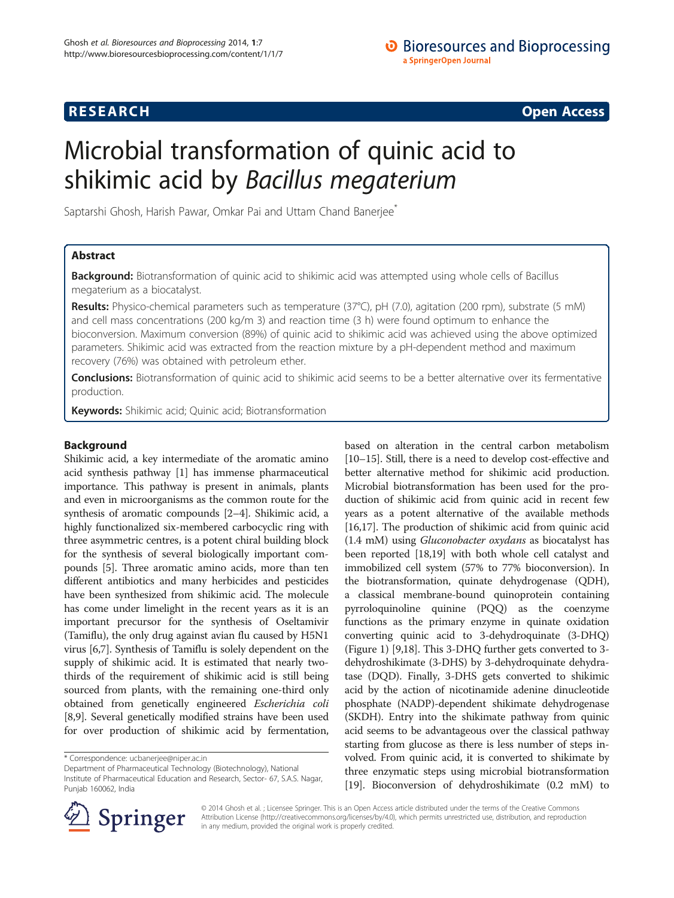# **RESEARCH RESEARCH CONSUMING ACCESS**

# Microbial transformation of quinic acid to shikimic acid by Bacillus megaterium

Saptarshi Ghosh, Harish Pawar, Omkar Pai and Uttam Chand Banerjee<sup>®</sup>

# Abstract

**Background:** Biotransformation of quinic acid to shikimic acid was attempted using whole cells of Bacillus megaterium as a biocatalyst.

Results: Physico-chemical parameters such as temperature (37°C), pH (7.0), agitation (200 rpm), substrate (5 mM) and cell mass concentrations (200 kg/m 3) and reaction time (3 h) were found optimum to enhance the bioconversion. Maximum conversion (89%) of quinic acid to shikimic acid was achieved using the above optimized parameters. Shikimic acid was extracted from the reaction mixture by a pH-dependent method and maximum recovery (76%) was obtained with petroleum ether.

Conclusions: Biotransformation of quinic acid to shikimic acid seems to be a better alternative over its fermentative production.

Keywords: Shikimic acid; Quinic acid; Biotransformation

# Background

Shikimic acid, a key intermediate of the aromatic amino acid synthesis pathway [\[1](#page-5-0)] has immense pharmaceutical importance. This pathway is present in animals, plants and even in microorganisms as the common route for the synthesis of aromatic compounds [\[2](#page-5-0)–[4](#page-5-0)]. Shikimic acid, a highly functionalized six-membered carbocyclic ring with three asymmetric centres, is a potent chiral building block for the synthesis of several biologically important compounds [\[5](#page-5-0)]. Three aromatic amino acids, more than ten different antibiotics and many herbicides and pesticides have been synthesized from shikimic acid. The molecule has come under limelight in the recent years as it is an important precursor for the synthesis of Oseltamivir (Tamiflu), the only drug against avian flu caused by H5N1 virus [\[6,7\]](#page-5-0). Synthesis of Tamiflu is solely dependent on the supply of shikimic acid. It is estimated that nearly twothirds of the requirement of shikimic acid is still being sourced from plants, with the remaining one-third only obtained from genetically engineered Escherichia coli [[8,9](#page-5-0)]. Several genetically modified strains have been used for over production of shikimic acid by fermentation,

Department of Pharmaceutical Technology (Biotechnology), National Institute of Pharmaceutical Education and Research, Sector- 67, S.A.S. Nagar, Punjab 160062, India

based on alteration in the central carbon metabolism [[10](#page-5-0)–[15\]](#page-5-0). Still, there is a need to develop cost-effective and better alternative method for shikimic acid production. Microbial biotransformation has been used for the production of shikimic acid from quinic acid in recent few years as a potent alternative of the available methods [[16](#page-5-0),[17](#page-5-0)]. The production of shikimic acid from quinic acid (1.4 mM) using Gluconobacter oxydans as biocatalyst has been reported [[18,19](#page-5-0)] with both whole cell catalyst and immobilized cell system (57% to 77% bioconversion). In the biotransformation, quinate dehydrogenase (QDH), a classical membrane-bound quinoprotein containing pyrroloquinoline quinine (PQQ) as the coenzyme functions as the primary enzyme in quinate oxidation converting quinic acid to 3-dehydroquinate (3-DHQ) (Figure [1\)](#page-1-0) [[9,18](#page-5-0)]. This 3-DHQ further gets converted to 3 dehydroshikimate (3-DHS) by 3-dehydroquinate dehydratase (DQD). Finally, 3-DHS gets converted to shikimic acid by the action of nicotinamide adenine dinucleotide phosphate (NADP)-dependent shikimate dehydrogenase (SKDH). Entry into the shikimate pathway from quinic acid seems to be advantageous over the classical pathway starting from glucose as there is less number of steps involved. From quinic acid, it is converted to shikimate by three enzymatic steps using microbial biotransformation [[19](#page-5-0)]. Bioconversion of dehydroshikimate (0.2 mM) to



© 2014 Ghosh et al. ; Licensee Springer. This is an Open Access article distributed under the terms of the Creative Commons Attribution License [\(http://creativecommons.org/licenses/by/4.0\)](http://creativecommons.org/licenses/by/4.0), which permits unrestricted use, distribution, and reproduction in any medium, provided the original work is properly credited.

<sup>\*</sup> Correspondence: [ucbanerjee@niper.ac.in](mailto:ucbanerjee@niper.ac.in)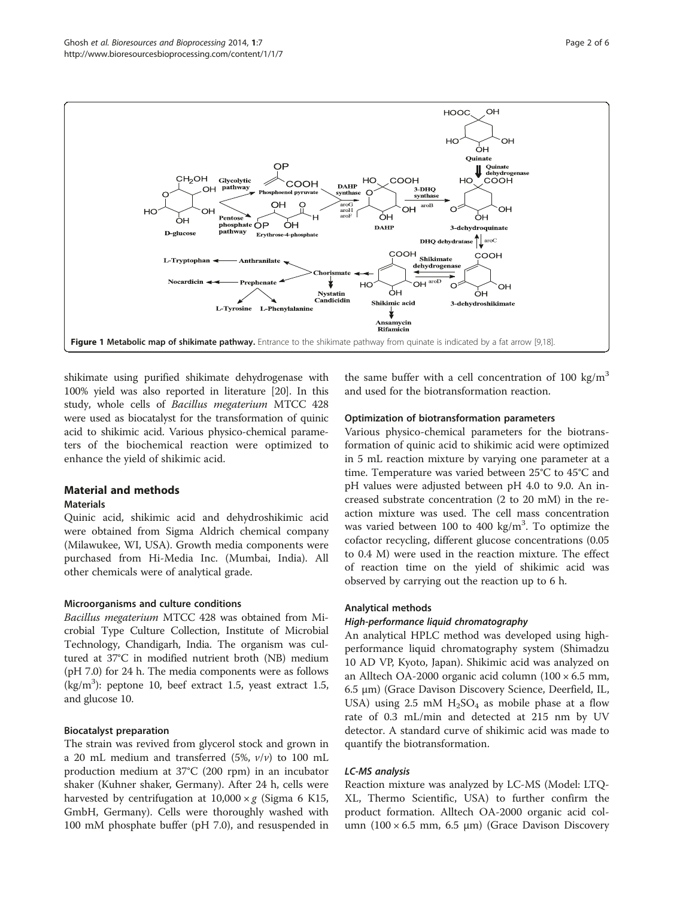<span id="page-1-0"></span>

shikimate using purified shikimate dehydrogenase with 100% yield was also reported in literature [[20\]](#page-5-0). In this study, whole cells of Bacillus megaterium MTCC 428 were used as biocatalyst for the transformation of quinic acid to shikimic acid. Various physico-chemical parameters of the biochemical reaction were optimized to enhance the yield of shikimic acid.

# Material and methods

#### **Materials**

Quinic acid, shikimic acid and dehydroshikimic acid were obtained from Sigma Aldrich chemical company (Milawukee, WI, USA). Growth media components were purchased from Hi-Media Inc. (Mumbai, India). All other chemicals were of analytical grade.

#### Microorganisms and culture conditions

Bacillus megaterium MTCC 428 was obtained from Microbial Type Culture Collection, Institute of Microbial Technology, Chandigarh, India. The organism was cultured at 37°C in modified nutrient broth (NB) medium (pH 7.0) for 24 h. The media components were as follows (kg/m3 ): peptone 10, beef extract 1.5, yeast extract 1.5, and glucose 10.

# Biocatalyst preparation

The strain was revived from glycerol stock and grown in a 20 mL medium and transferred (5%,  $v/v$ ) to 100 mL production medium at 37°C (200 rpm) in an incubator shaker (Kuhner shaker, Germany). After 24 h, cells were harvested by centrifugation at  $10,000 \times g$  (Sigma 6 K15, GmbH, Germany). Cells were thoroughly washed with 100 mM phosphate buffer (pH 7.0), and resuspended in the same buffer with a cell concentration of 100 kg/m<sup>3</sup> and used for the biotransformation reaction.

# Optimization of biotransformation parameters

Various physico-chemical parameters for the biotransformation of quinic acid to shikimic acid were optimized in 5 mL reaction mixture by varying one parameter at a time. Temperature was varied between 25°C to 45°C and pH values were adjusted between pH 4.0 to 9.0. An increased substrate concentration (2 to 20 mM) in the reaction mixture was used. The cell mass concentration was varied between  $100$  to  $400 \text{ kg/m}^3$ . To optimize the cofactor recycling, different glucose concentrations (0.05 to 0.4 M) were used in the reaction mixture. The effect of reaction time on the yield of shikimic acid was observed by carrying out the reaction up to 6 h.

# Analytical methods

# High-performance liquid chromatography

An analytical HPLC method was developed using highperformance liquid chromatography system (Shimadzu 10 AD VP, Kyoto, Japan). Shikimic acid was analyzed on an Alltech OA-2000 organic acid column  $(100 \times 6.5 \text{ mm})$ 6.5 μm) (Grace Davison Discovery Science, Deerfield, IL, USA) using 2.5 mM  $H_2SO_4$  as mobile phase at a flow rate of 0.3 mL/min and detected at 215 nm by UV detector. A standard curve of shikimic acid was made to quantify the biotransformation.

# LC-MS analysis

Reaction mixture was analyzed by LC-MS (Model: LTQ-XL, Thermo Scientific, USA) to further confirm the product formation. Alltech OA-2000 organic acid column  $(100 \times 6.5$  mm, 6.5 μm) (Grace Davison Discovery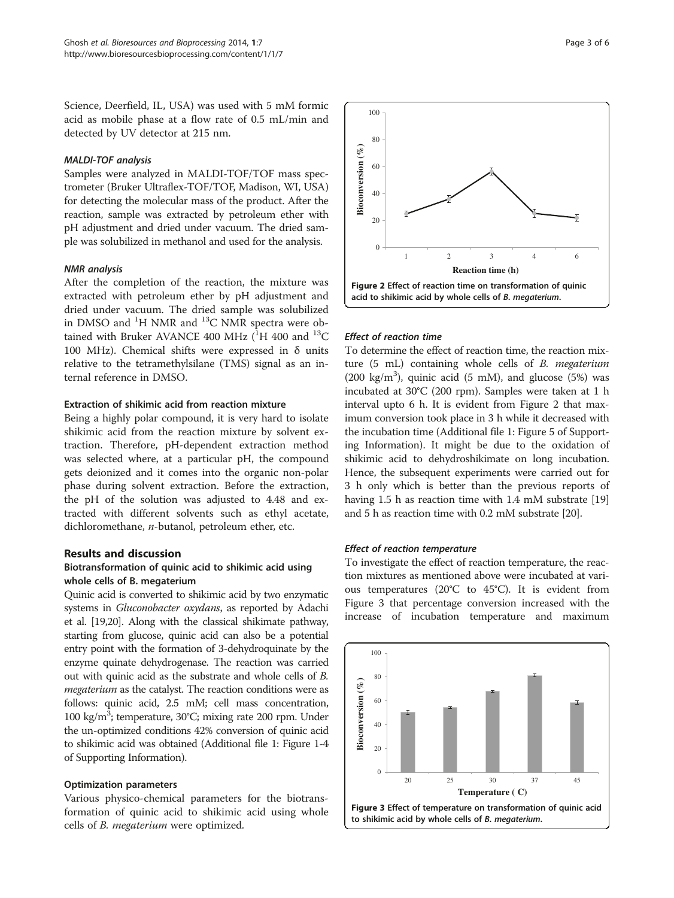Science, Deerfield, IL, USA) was used with 5 mM formic acid as mobile phase at a flow rate of 0.5 mL/min and detected by UV detector at 215 nm.

#### MALDI-TOF analysis

Samples were analyzed in MALDI-TOF/TOF mass spectrometer (Bruker Ultraflex-TOF/TOF, Madison, WI, USA) for detecting the molecular mass of the product. After the reaction, sample was extracted by petroleum ether with pH adjustment and dried under vacuum. The dried sample was solubilized in methanol and used for the analysis.

#### NMR analysis

After the completion of the reaction, the mixture was extracted with petroleum ether by pH adjustment and dried under vacuum. The dried sample was solubilized in DMSO and  ${}^{1}H$  NMR and  ${}^{13}C$  NMR spectra were obtained with Bruker AVANCE 400 MHz  $(^1H$  400 and  $^{13}C$ 100 MHz). Chemical shifts were expressed in δ units relative to the tetramethylsilane (TMS) signal as an internal reference in DMSO.

# Extraction of shikimic acid from reaction mixture

Being a highly polar compound, it is very hard to isolate shikimic acid from the reaction mixture by solvent extraction. Therefore, pH-dependent extraction method was selected where, at a particular pH, the compound gets deionized and it comes into the organic non-polar phase during solvent extraction. Before the extraction, the pH of the solution was adjusted to 4.48 and extracted with different solvents such as ethyl acetate, dichloromethane, n-butanol, petroleum ether, etc.

#### Results and discussion

# Biotransformation of quinic acid to shikimic acid using whole cells of B. megaterium

Quinic acid is converted to shikimic acid by two enzymatic systems in Gluconobacter oxydans, as reported by Adachi et al. [[19,20](#page-5-0)]. Along with the classical shikimate pathway, starting from glucose, quinic acid can also be a potential entry point with the formation of 3-dehydroquinate by the enzyme quinate dehydrogenase. The reaction was carried out with quinic acid as the substrate and whole cells of B. megaterium as the catalyst. The reaction conditions were as follows: quinic acid, 2.5 mM; cell mass concentration, 100 kg/m<sup>3</sup>; temperature, 30°C; mixing rate 200 rpm. Under the un-optimized conditions 42% conversion of quinic acid to shikimic acid was obtained (Additional file [1:](#page-5-0) Figure 1-4 of Supporting Information).

#### Optimization parameters

Various physico-chemical parameters for the biotransformation of quinic acid to shikimic acid using whole cells of B. megaterium were optimized.



# Effect of reaction time

To determine the effect of reaction time, the reaction mixture (5 mL) containing whole cells of B. megaterium (200 kg/m<sup>3</sup>), quinic acid (5 mM), and glucose (5%) was incubated at 30°C (200 rpm). Samples were taken at 1 h interval upto 6 h. It is evident from Figure 2 that maximum conversion took place in 3 h while it decreased with the incubation time (Additional file [1](#page-5-0): Figure 5 of Supporting Information). It might be due to the oxidation of shikimic acid to dehydroshikimate on long incubation. Hence, the subsequent experiments were carried out for 3 h only which is better than the previous reports of having 1.5 h as reaction time with 1.4 mM substrate [[19](#page-5-0)] and 5 h as reaction time with 0.2 mM substrate [[20](#page-5-0)].

# Effect of reaction temperature

To investigate the effect of reaction temperature, the reaction mixtures as mentioned above were incubated at various temperatures (20°C to 45°C). It is evident from Figure 3 that percentage conversion increased with the increase of incubation temperature and maximum

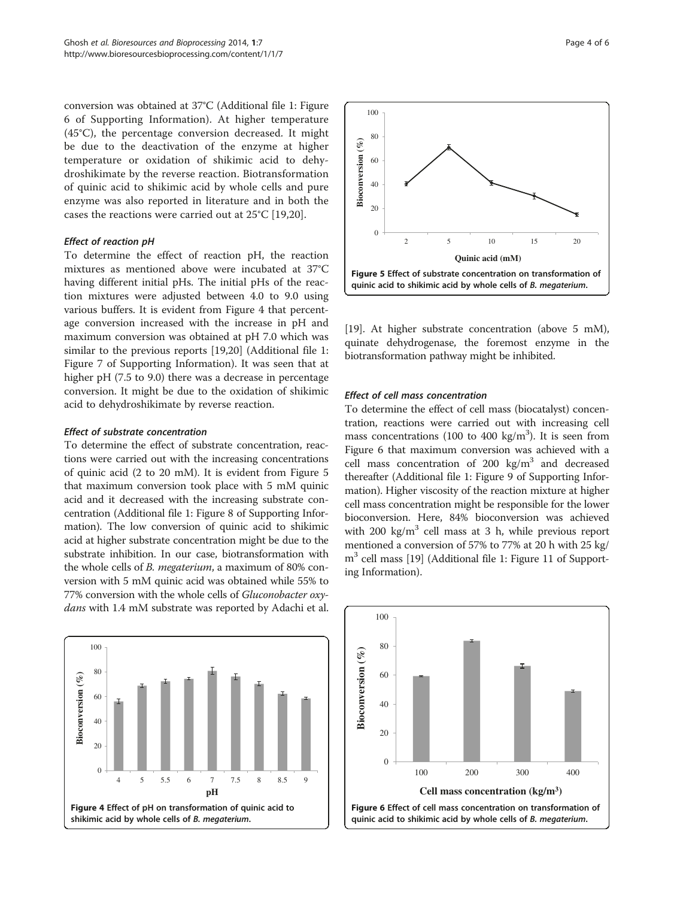conversion was obtained at 37°C (Additional file [1](#page-5-0): Figure 6 of Supporting Information). At higher temperature (45°C), the percentage conversion decreased. It might be due to the deactivation of the enzyme at higher temperature or oxidation of shikimic acid to dehydroshikimate by the reverse reaction. Biotransformation of quinic acid to shikimic acid by whole cells and pure enzyme was also reported in literature and in both the cases the reactions were carried out at 25°C [\[19](#page-5-0),[20](#page-5-0)].

#### Effect of reaction pH

To determine the effect of reaction pH, the reaction mixtures as mentioned above were incubated at 37°C having different initial pHs. The initial pHs of the reaction mixtures were adjusted between 4.0 to 9.0 using various buffers. It is evident from Figure 4 that percentage conversion increased with the increase in pH and maximum conversion was obtained at pH 7.0 which was similar to the previous reports [[19](#page-5-0),[20](#page-5-0)] (Additional file [1](#page-5-0): Figure 7 of Supporting Information). It was seen that at higher pH (7.5 to 9.0) there was a decrease in percentage conversion. It might be due to the oxidation of shikimic acid to dehydroshikimate by reverse reaction.

# Effect of substrate concentration

To determine the effect of substrate concentration, reactions were carried out with the increasing concentrations of quinic acid (2 to 20 mM). It is evident from Figure 5 that maximum conversion took place with 5 mM quinic acid and it decreased with the increasing substrate concentration (Additional file [1](#page-5-0): Figure 8 of Supporting Information). The low conversion of quinic acid to shikimic acid at higher substrate concentration might be due to the substrate inhibition. In our case, biotransformation with the whole cells of B. megaterium, a maximum of 80% conversion with 5 mM quinic acid was obtained while 55% to 77% conversion with the whole cells of Gluconobacter oxydans with 1.4 mM substrate was reported by Adachi et al.





[[19](#page-5-0)]. At higher substrate concentration (above 5 mM), quinate dehydrogenase, the foremost enzyme in the biotransformation pathway might be inhibited.

### Effect of cell mass concentration

To determine the effect of cell mass (biocatalyst) concentration, reactions were carried out with increasing cell mass concentrations (100 to 400 kg/m<sup>3</sup>). It is seen from Figure 6 that maximum conversion was achieved with a cell mass concentration of 200  $\text{kg/m}^3$  and decreased thereafter (Additional file [1](#page-5-0): Figure 9 of Supporting Information). Higher viscosity of the reaction mixture at higher cell mass concentration might be responsible for the lower bioconversion. Here, 84% bioconversion was achieved with 200 kg/ $m<sup>3</sup>$  cell mass at 3 h, while previous report mentioned a conversion of 57% to 77% at 20 h with 25 kg/ m<sup>3</sup> cell mass [\[19\]](#page-5-0) (Additional file [1](#page-5-0): Figure 11 of Supporting Information).

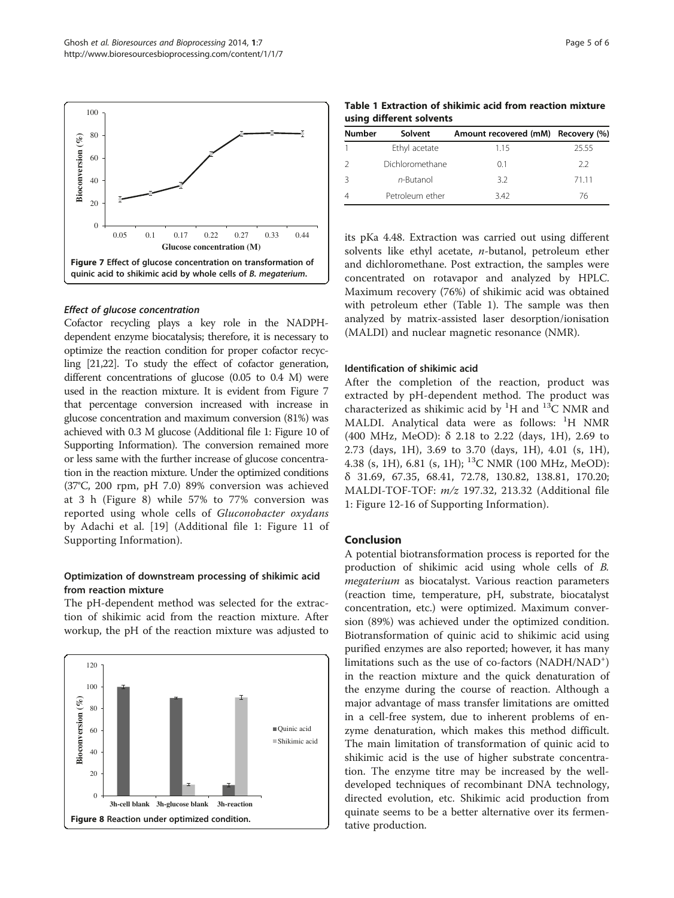

#### Effect of glucose concentration

Cofactor recycling plays a key role in the NADPHdependent enzyme biocatalysis; therefore, it is necessary to optimize the reaction condition for proper cofactor recycling [\[21,22](#page-5-0)]. To study the effect of cofactor generation, different concentrations of glucose (0.05 to 0.4 M) were used in the reaction mixture. It is evident from Figure 7 that percentage conversion increased with increase in glucose concentration and maximum conversion (81%) was achieved with 0.3 M glucose (Additional file [1:](#page-5-0) Figure 10 of Supporting Information). The conversion remained more or less same with the further increase of glucose concentration in the reaction mixture. Under the optimized conditions (37°C, 200 rpm, pH 7.0) 89% conversion was achieved at 3 h (Figure 8) while 57% to 77% conversion was reported using whole cells of Gluconobacter oxydans by Adachi et al. [[19\]](#page-5-0) (Additional file [1](#page-5-0): Figure 11 of Supporting Information).

# Optimization of downstream processing of shikimic acid from reaction mixture

The pH-dependent method was selected for the extraction of shikimic acid from the reaction mixture. After workup, the pH of the reaction mixture was adjusted to



Table 1 Extraction of shikimic acid from reaction mixture using different solvents

| Solvent         |      |                                    |
|-----------------|------|------------------------------------|
| Ethyl acetate   | 1.15 | 25.55                              |
| Dichloromethane | 01   | 22                                 |
| $n$ -Butanol    | 3.2  | 71 11                              |
| Petroleum ether | 342  | 76                                 |
|                 |      | Amount recovered (mM) Recovery (%) |

its pKa 4.48. Extraction was carried out using different solvents like ethyl acetate, n-butanol, petroleum ether and dichloromethane. Post extraction, the samples were concentrated on rotavapor and analyzed by HPLC. Maximum recovery (76%) of shikimic acid was obtained with petroleum ether (Table 1). The sample was then analyzed by matrix-assisted laser desorption/ionisation (MALDI) and nuclear magnetic resonance (NMR).

#### Identification of shikimic acid

After the completion of the reaction, product was extracted by pH-dependent method. The product was characterized as shikimic acid by <sup>1</sup>H and <sup>13</sup>C NMR and MALDI. Analytical data were as follows: <sup>1</sup>H NMR (400 MHz, MeOD): δ 2.18 to 2.22 (days, 1H), 2.69 to 2.73 (days, 1H), 3.69 to 3.70 (days, 1H), 4.01 (s, 1H), 4.38 (s, 1H), 6.81 (s, 1H); 13C NMR (100 MHz, MeOD): δ 31.69, 67.35, 68.41, 72.78, 130.82, 138.81, 170.20; MALDI-TOF-TOF: m/z 197.32, 213.32 (Additional file [1:](#page-5-0) Figure 12-16 of Supporting Information).

# Conclusion

A potential biotransformation process is reported for the production of shikimic acid using whole cells of B. megaterium as biocatalyst. Various reaction parameters (reaction time, temperature, pH, substrate, biocatalyst concentration, etc.) were optimized. Maximum conversion (89%) was achieved under the optimized condition. Biotransformation of quinic acid to shikimic acid using purified enzymes are also reported; however, it has many limitations such as the use of co-factors (NADH/NAD<sup>+</sup>) in the reaction mixture and the quick denaturation of the enzyme during the course of reaction. Although a major advantage of mass transfer limitations are omitted in a cell-free system, due to inherent problems of enzyme denaturation, which makes this method difficult. The main limitation of transformation of quinic acid to shikimic acid is the use of higher substrate concentration. The enzyme titre may be increased by the welldeveloped techniques of recombinant DNA technology, directed evolution, etc. Shikimic acid production from quinate seems to be a better alternative over its fermentative production.